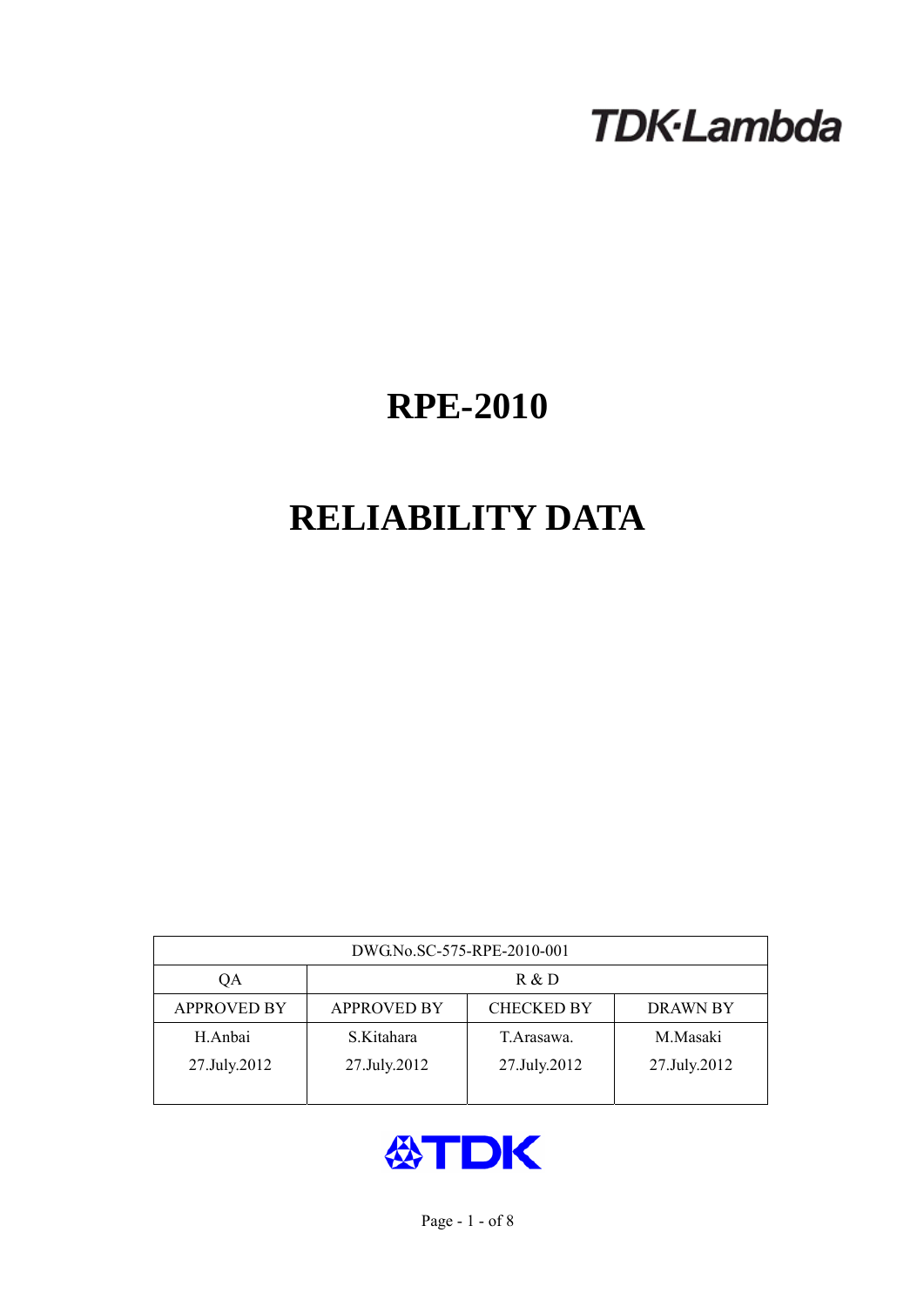# **TDK-Lambda**

# **RPE-2010**

# **RELIABILITY DATA**

| DWG.No.SC-575-RPE-2010-001 |                                                            |              |              |  |  |  |
|----------------------------|------------------------------------------------------------|--------------|--------------|--|--|--|
| QA                         | R & D                                                      |              |              |  |  |  |
| <b>APPROVED BY</b>         | <b>CHECKED BY</b><br><b>APPROVED BY</b><br><b>DRAWN BY</b> |              |              |  |  |  |
| H.Anbai                    | S.Kitahara                                                 | T. Arasawa.  | M.Masaki     |  |  |  |
| 27.July.2012               | 27.July.2012                                               | 27.July.2012 | 27.July.2012 |  |  |  |
|                            |                                                            |              |              |  |  |  |

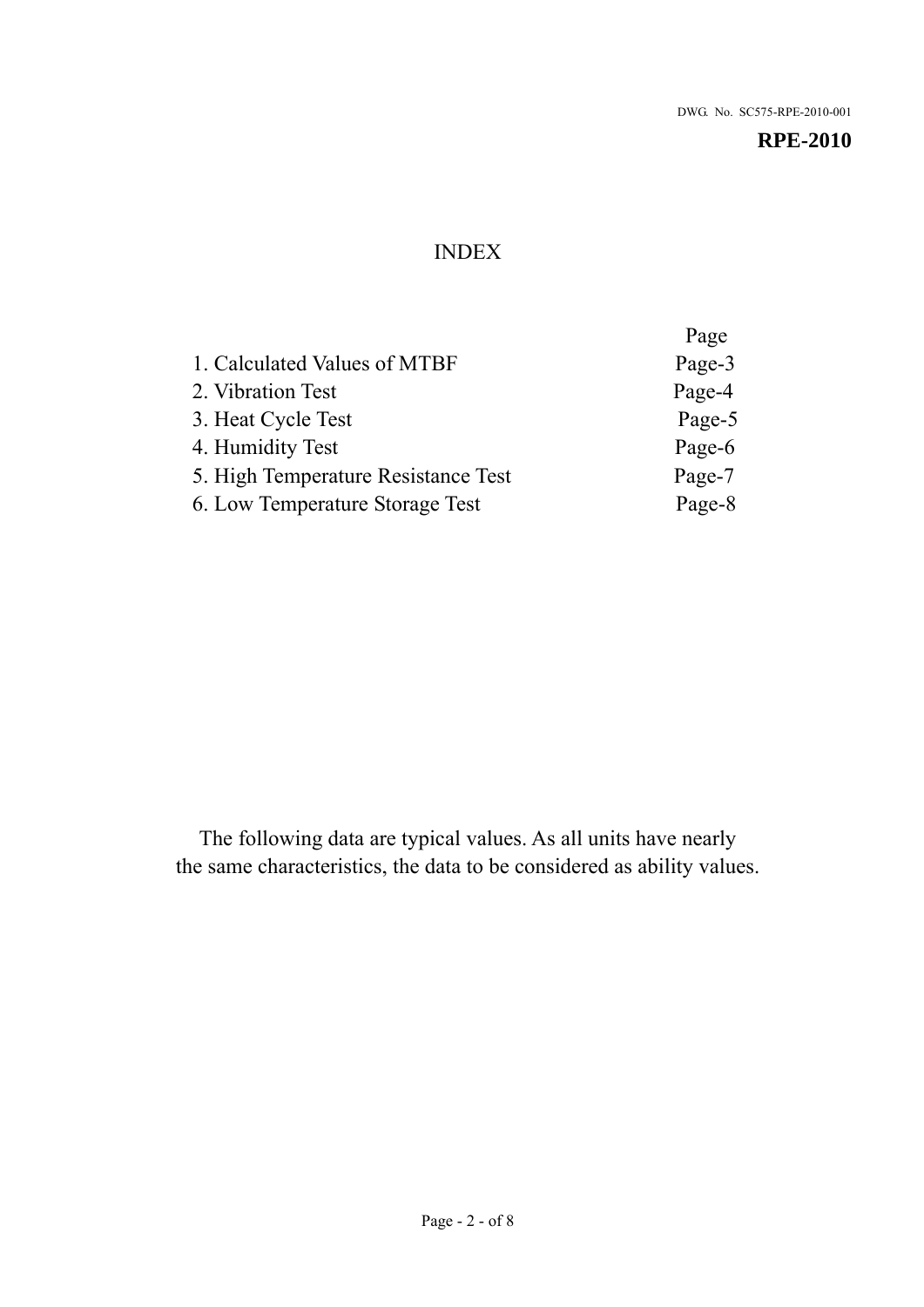## INDEX

|                                     | Page   |
|-------------------------------------|--------|
| 1. Calculated Values of MTBF        | Page-3 |
| 2. Vibration Test                   | Page-4 |
| 3. Heat Cycle Test                  | Page-5 |
| 4. Humidity Test                    | Page-6 |
| 5. High Temperature Resistance Test | Page-7 |
| 6. Low Temperature Storage Test     | Page-8 |

The following data are typical values. As all units have nearly the same characteristics, the data to be considered as ability values.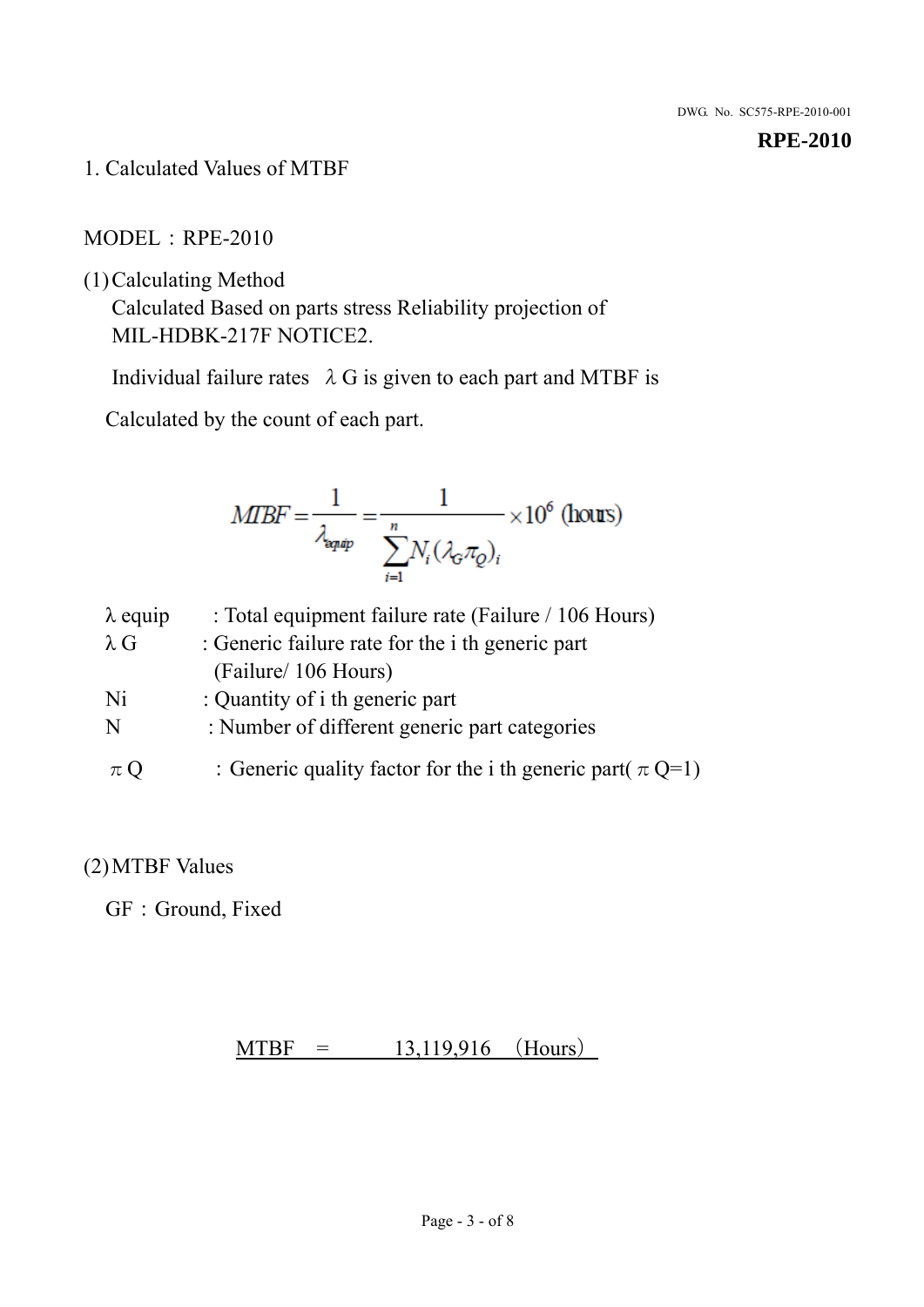1. Calculated Values of MTBF

## MODEL:RPE-2010

(1)Calculating Method

Calculated Based on parts stress Reliability projection of MIL-HDBK-217F NOTICE2.

Individual failure rates  $\lambda$  G is given to each part and MTBF is

Calculated by the count of each part.

$$
MIBF = \frac{1}{\lambda_{\text{expap}}} = \frac{1}{\sum_{i=1}^{n} N_i (\lambda_{\text{G}} \pi_Q)_i} \times 10^6 \text{ (hours)}
$$

| $\lambda$ equip | : Total equipment failure rate (Failure / 106 Hours)            |
|-----------------|-----------------------------------------------------------------|
| $\lambda$ G     | : Generic failure rate for the <i>i</i> th generic part         |
|                 | (Failure/ 106 Hours)                                            |
| Ni              | : Quantity of i th generic part                                 |
| N               | : Number of different generic part categories                   |
| $\pi$ Q         | : Generic quality factor for the i th generic part( $\pi Q=1$ ) |

## (2)MTBF Values

GF: Ground, Fixed

## $MTBF = 13,119,916$  (Hours)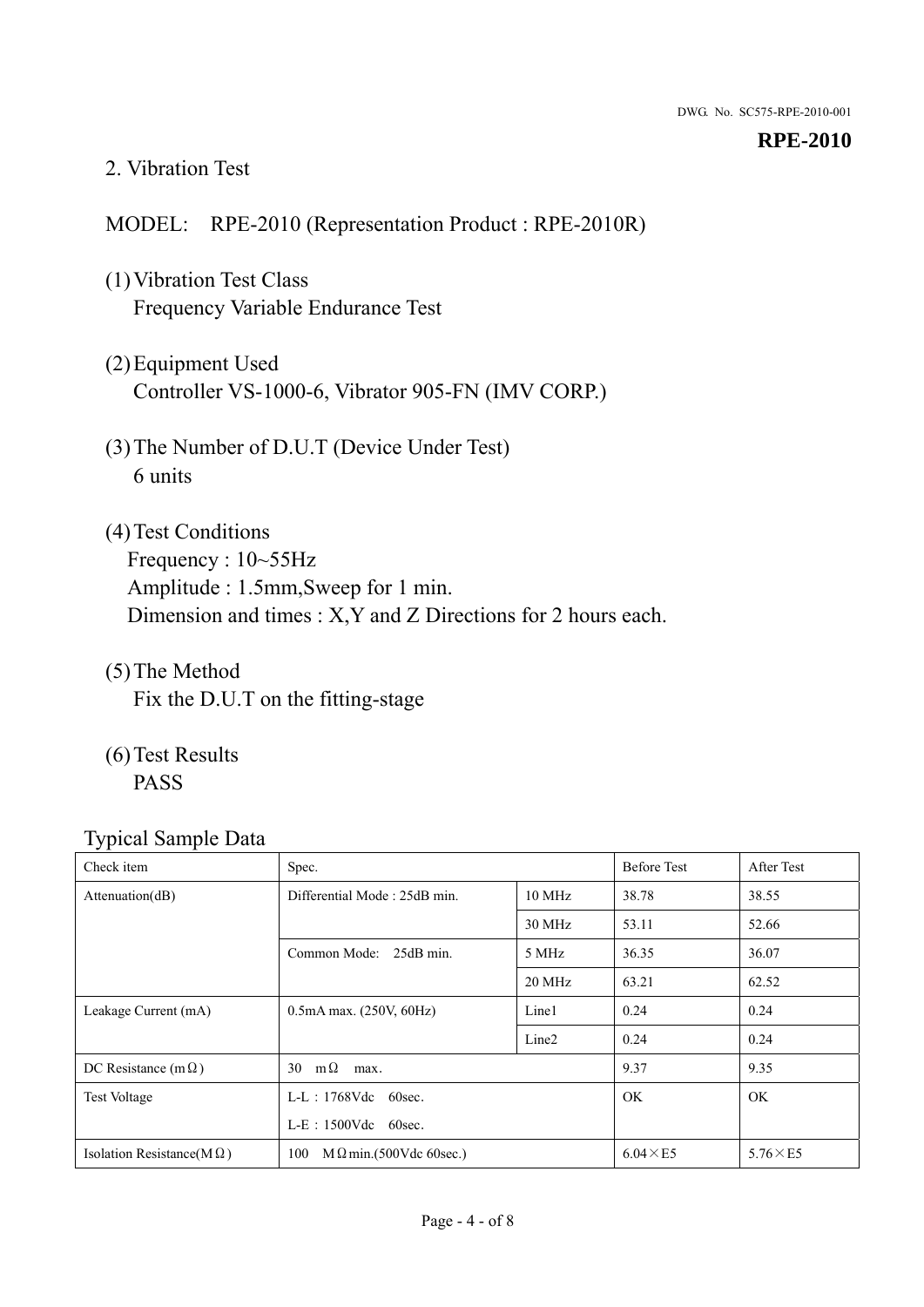### 2. Vibration Test

## MODEL: RPE-2010 (Representation Product : RPE-2010R)

- (1)Vibration Test Class Frequency Variable Endurance Test
- (2)Equipment Used Controller VS-1000-6, Vibrator 905-FN (IMV CORP.)
- (3)The Number of D.U.T (Device Under Test) 6 units
- (4) Test Conditions Frequency : 10~55Hz Amplitude : 1.5mm,Sweep for 1 min. Dimension and times : X,Y and Z Directions for 2 hours each.
- (5)The Method Fix the D.U.T on the fitting-stage
- (6)Test Results PASS

| Check item                        | Spec.                                 |                   | <b>Before Test</b> | After Test      |
|-----------------------------------|---------------------------------------|-------------------|--------------------|-----------------|
| Attention(dB)                     | Differential Mode: 25dB min.          |                   | 38.78              | 38.55           |
|                                   |                                       | 30 MHz            | 53.11              | 52.66           |
|                                   | Common Mode: 25dB min.                | 5 MHz             | 36.35              | 36.07           |
|                                   |                                       | 20 MHz            | 63.21              | 62.52           |
| Leakage Current (mA)              | $0.5mA$ max. $(250V, 60Hz)$           | Line1             | 0.24               | 0.24            |
|                                   |                                       | Line <sub>2</sub> | 0.24               | 0.24            |
| DC Resistance (m $\Omega$ )       | $m\Omega$<br>30<br>max.               |                   | 9.37               | 9.35            |
| <b>Test Voltage</b>               | $L-L$ : 1768Vdc 60sec.                |                   | <b>OK</b>          | <b>OK</b>       |
|                                   | $L-E$ : 1500Vdc 60sec.                |                   |                    |                 |
| Isolation Resistance(M $\Omega$ ) | 100<br>$M \Omega$ min.(500Vdc 60sec.) |                   | $6.04 \times E5$   | $5.76\times E5$ |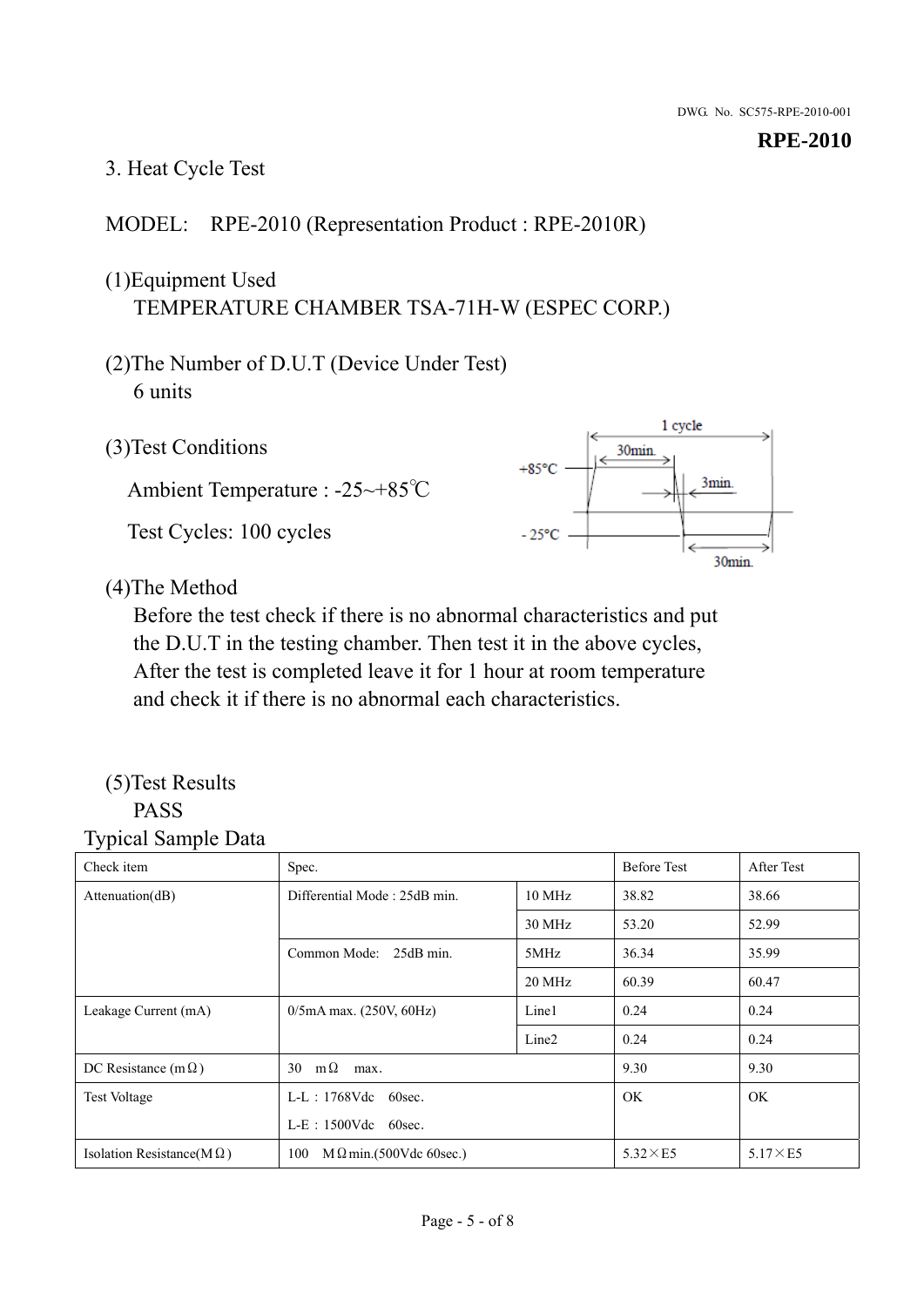## 3. Heat Cycle Test

## MODEL: RPE-2010 (Representation Product : RPE-2010R)

## (1)Equipment Used TEMPERATURE CHAMBER TSA-71H-W (ESPEC CORP.)

- (2)The Number of D.U.T (Device Under Test) 6 units
- 1 cycle (3)Test Conditions 30<sub>min</sub>  $+85^{\circ}$ C 3min. Ambient Temperature : -25~+85℃ Test Cycles: 100 cycles  $-25^{\circ}$ C 30min.

(4)The Method

Before the test check if there is no abnormal characteristics and put the D.U.T in the testing chamber. Then test it in the above cycles, After the test is completed leave it for 1 hour at room temperature and check it if there is no abnormal each characteristics.

### (5)Test Results PASS

| ┙┸<br>$\mathbf{I}$<br>Check item  | Spec.                                  |                   | <b>Before Test</b> | After Test      |
|-----------------------------------|----------------------------------------|-------------------|--------------------|-----------------|
| Attention(dB)                     | Differential Mode: 25dB min.<br>10 MHz |                   | 38.82              | 38.66           |
|                                   |                                        | 30 MHz            | 53.20              | 52.99           |
|                                   | Common Mode: 25dB min.                 | 5MHz              | 36.34              | 35.99           |
|                                   |                                        | 20 MHz            | 60.39              | 60.47           |
| Leakage Current (mA)              | $0/5$ mA max. (250V, 60Hz)             | Line1             | 0.24               | 0.24            |
|                                   |                                        | Line <sub>2</sub> | 0.24               | 0.24            |
| DC Resistance (m $\Omega$ )       | $m\Omega$<br>30<br>max.                |                   | 9.30               | 9.30            |
| <b>Test Voltage</b>               | $L-L$ : 1768Vdc 60sec.                 |                   | OK.                | OK.             |
|                                   | $L-E$ : 1500Vdc 60sec.                 |                   |                    |                 |
| Isolation Resistance(M $\Omega$ ) | 100<br>$M\Omega$ min.(500Vdc 60sec.)   |                   | $5.32\times E5$    | $5.17\times E5$ |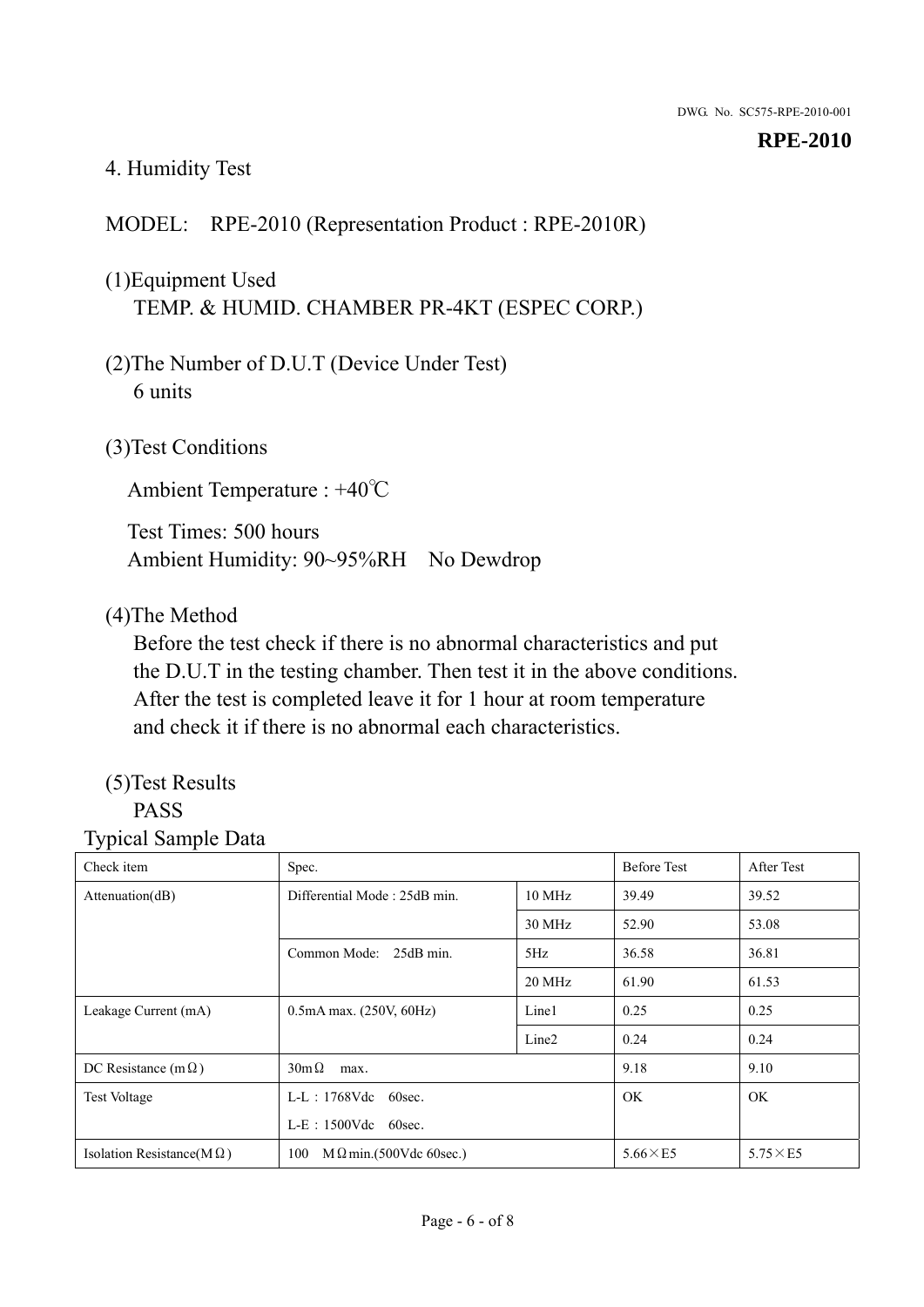## 4. Humidity Test

## MODEL: RPE-2010 (Representation Product : RPE-2010R)

## (1)Equipment Used TEMP. & HUMID. CHAMBER PR-4KT (ESPEC CORP.)

- (2)The Number of D.U.T (Device Under Test) 6 units
- (3)Test Conditions

Ambient Temperature : +40℃

Test Times: 500 hours Ambient Humidity: 90~95%RH No Dewdrop

## (4)The Method

Before the test check if there is no abnormal characteristics and put the D.U.T in the testing chamber. Then test it in the above conditions. After the test is completed leave it for 1 hour at room temperature and check it if there is no abnormal each characteristics.

# (5)Test Results

## PASS

| ັ່<br>л.<br>Check item            | Spec.                                  |                   | <b>Before Test</b> | After Test      |
|-----------------------------------|----------------------------------------|-------------------|--------------------|-----------------|
| Attenuation(dB)                   | Differential Mode: 25dB min.<br>10 MHz |                   | 39.49              | 39.52           |
|                                   |                                        | 30 MHz            | 52.90              | 53.08           |
|                                   | Common Mode: 25dB min.                 | 5Hz               | 36.58              | 36.81           |
|                                   |                                        | 20 MHz            | 61.90              | 61.53           |
| Leakage Current (mA)              | $0.5mA$ max. $(250V, 60Hz)$            | Line1             | 0.25               | 0.25            |
|                                   |                                        | Line <sub>2</sub> | 0.24               | 0.24            |
| DC Resistance (m $\Omega$ )       | $30m\Omega$<br>max.                    |                   | 9.18               | 9.10            |
| <b>Test Voltage</b>               | $L-L$ : 1768Vdc 60sec.                 |                   | OK.                | OK.             |
|                                   | $L-E$ : 1500Vdc 60sec.                 |                   |                    |                 |
| Isolation Resistance(M $\Omega$ ) | $M \Omega$ min.(500Vdc 60sec.)<br>100  |                   | $5.66\times E5$    | $5.75\times E5$ |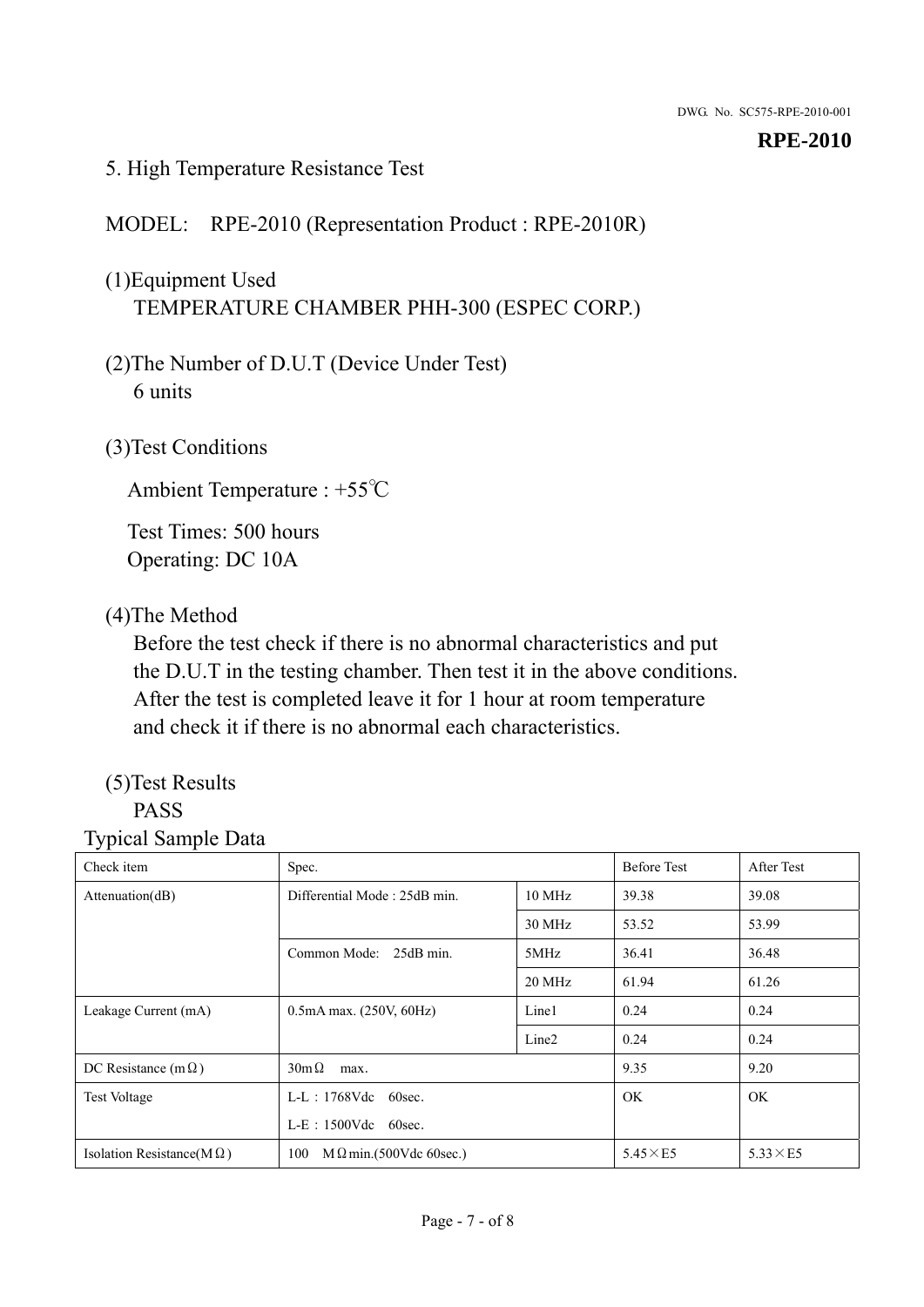## 5. High Temperature Resistance Test

## MODEL: RPE-2010 (Representation Product : RPE-2010R)

## (1)Equipment Used TEMPERATURE CHAMBER PHH-300 (ESPEC CORP.)

- (2)The Number of D.U.T (Device Under Test) 6 units
- (3)Test Conditions

Ambient Temperature : +55℃

Test Times: 500 hours Operating: DC 10A

## (4)The Method

Before the test check if there is no abnormal characteristics and put the D.U.T in the testing chamber. Then test it in the above conditions. After the test is completed leave it for 1 hour at room temperature and check it if there is no abnormal each characteristics.

# (5)Test Results

## PASS

| ັ່<br>л.<br>Check item            | Spec.                                  |                   | <b>Before Test</b> | After Test      |
|-----------------------------------|----------------------------------------|-------------------|--------------------|-----------------|
| Attenuation(dB)                   | Differential Mode: 25dB min.<br>10 MHz |                   | 39.38              | 39.08           |
|                                   |                                        | 30 MHz            | 53.52              | 53.99           |
|                                   | Common Mode: 25dB min.                 | 5MHz              | 36.41              | 36.48           |
|                                   |                                        | 20 MHz            | 61.94              | 61.26           |
| Leakage Current (mA)              | $0.5mA$ max. $(250V, 60Hz)$            | Line1             | 0.24               | 0.24            |
|                                   |                                        | Line <sub>2</sub> | 0.24               | 0.24            |
| DC Resistance (m $\Omega$ )       | $30m\Omega$<br>max.                    |                   | 9.35               | 9.20            |
| <b>Test Voltage</b>               | $L-L$ : 1768Vdc 60sec.                 |                   | OK.                | OK.             |
|                                   | L-E: 1500Vdc 60sec.                    |                   |                    |                 |
| Isolation Resistance(M $\Omega$ ) | $M \Omega$ min.(500Vdc 60sec.)<br>100  |                   | $5.45\times E5$    | $5.33\times E5$ |